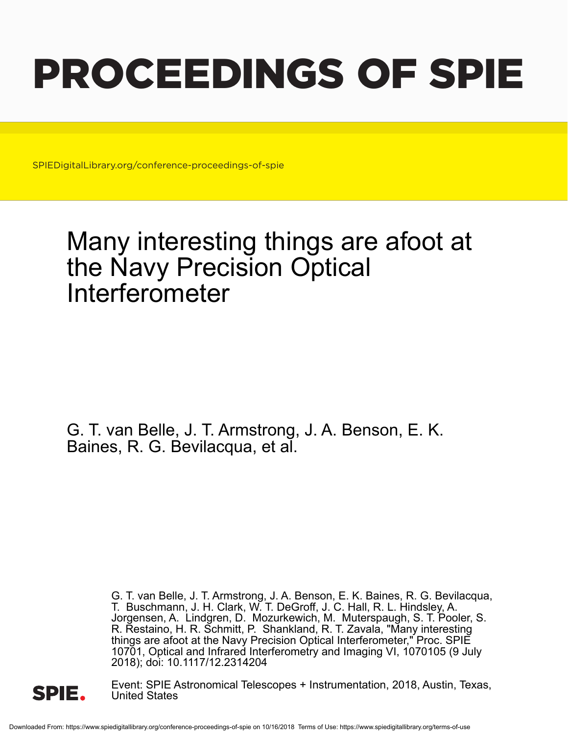# PROCEEDINGS OF SPIE

SPIEDigitalLibrary.org/conference-proceedings-of-spie

## Many interesting things are afoot at the Navy Precision Optical Interferometer

G. T. van Belle, J. T. Armstrong, J. A. Benson, E. K. Baines, R. G. Bevilacqua, et al.

> G. T. van Belle, J. T. Armstrong, J. A. Benson, E. K. Baines, R. G. Bevilacqua, T. Buschmann, J. H. Clark, W. T. DeGroff, J. C. Hall, R. L. Hindsley, A. Jorgensen, A. Lindgren, D. Mozurkewich, M. Muterspaugh, S. T. Pooler, S. R. Restaino, H. R. Schmitt, P. Shankland, R. T. Zavala, "Many interesting things are afoot at the Navy Precision Optical Interferometer," Proc. SPIE 10701, Optical and Infrared Interferometry and Imaging VI, 1070105 (9 July 2018); doi: 10.1117/12.2314204



Event: SPIE Astronomical Telescopes + Instrumentation, 2018, Austin, Texas, United States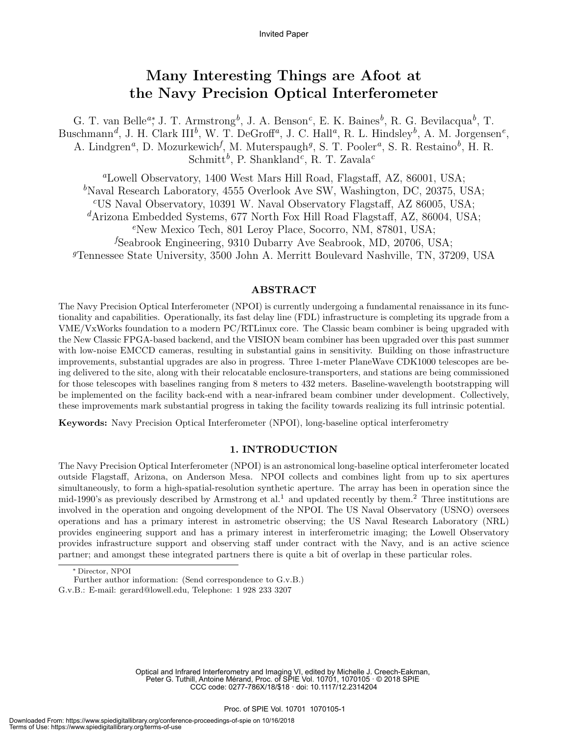### Many Interesting Things are Afoot at the Navy Precision Optical Interferometer

G. T. van Belle<sup>a</sup>\*, J. T. Armstrong<sup>b</sup>, J. A. Benson<sup>c</sup>, E. K. Baines<sup>b</sup>, R. G. Bevilacqua<sup>b</sup>, T. Buschmann<sup>d</sup>, J. H. Clark III<sup>b</sup>, W. T. DeGroff<sup>a</sup>, J. C. Hall<sup>a</sup>, R. L. Hindsley<sup>b</sup>, A. M. Jorgensen<sup>e</sup>, A. Lindgren<sup>a</sup>, D. Mozurkewich<sup>f</sup>, M. Muterspaugh<sup>g</sup>, S. T. Pooler<sup>a</sup>, S. R. Restaino<sup>b</sup>, H. R.  $\text{Schmitt}^b$ , P. Shankland<sup>c</sup>, R. T. Zavala<sup>c</sup>

<sup>a</sup>Lowell Observatory, 1400 West Mars Hill Road, Flagstaff, AZ, 86001, USA;  $b$ Naval Research Laboratory, 4555 Overlook Ave SW, Washington, DC, 20375, USA; <sup>c</sup>US Naval Observatory, 10391 W. Naval Observatory Flagstaff, AZ 86005, USA;  $dA$ rizona Embedded Systems, 677 North Fox Hill Road Flagstaff, AZ, 86004, USA; <sup>e</sup>New Mexico Tech, 801 Leroy Place, Socorro, NM, 87801, USA; <sup>f</sup>Seabrook Engineering, 9310 Dubarry Ave Seabrook, MD, 20706, USA; <sup>g</sup>Tennessee State University, 3500 John A. Merritt Boulevard Nashville, TN, 37209, USA

#### ABSTRACT

The Navy Precision Optical Interferometer (NPOI) is currently undergoing a fundamental renaissance in its functionality and capabilities. Operationally, its fast delay line (FDL) infrastructure is completing its upgrade from a VME/VxWorks foundation to a modern PC/RTLinux core. The Classic beam combiner is being upgraded with the New Classic FPGA-based backend, and the VISION beam combiner has been upgraded over this past summer with low-noise EMCCD cameras, resulting in substantial gains in sensitivity. Building on those infrastructure improvements, substantial upgrades are also in progress. Three 1-meter PlaneWave CDK1000 telescopes are being delivered to the site, along with their relocatable enclosure-transporters, and stations are being commissioned for those telescopes with baselines ranging from 8 meters to 432 meters. Baseline-wavelength bootstrapping will be implemented on the facility back-end with a near-infrared beam combiner under development. Collectively, these improvements mark substantial progress in taking the facility towards realizing its full intrinsic potential.

Keywords: Navy Precision Optical Interferometer (NPOI), long-baseline optical interferometry

#### 1. INTRODUCTION

The Navy Precision Optical Interferometer (NPOI) is an astronomical long-baseline optical interferometer located outside Flagstaff, Arizona, on Anderson Mesa. NPOI collects and combines light from up to six apertures simultaneously, to form a high-spatial-resolution synthetic aperture. The array has been in operation since the mid-1990's as previously described by Armstrong et al.<sup>1</sup> and updated recently by them.<sup>2</sup> Three institutions are involved in the operation and ongoing development of the NPOI. The US Naval Observatory (USNO) oversees operations and has a primary interest in astrometric observing; the US Naval Research Laboratory (NRL) provides engineering support and has a primary interest in interferometric imaging; the Lowell Observatory provides infrastructure support and observing staff under contract with the Navy, and is an active science partner; and amongst these integrated partners there is quite a bit of overlap in these particular roles.

Optical and Infrared Interferometry and Imaging VI, edited by Michelle J. Creech-Eakman, Peter G. Tuthill, Antoine Mérand, Proc. of SPIE Vol. 10701, 1070105 · © 2018 SPIE CCC code: 0277-786X/18/\$18 · doi: 10.1117/12.2314204

<sup>∗</sup> Director, NPOI

Further author information: (Send correspondence to G.v.B.)

G.v.B.: E-mail: gerard@lowell.edu, Telephone: 1 928 233 3207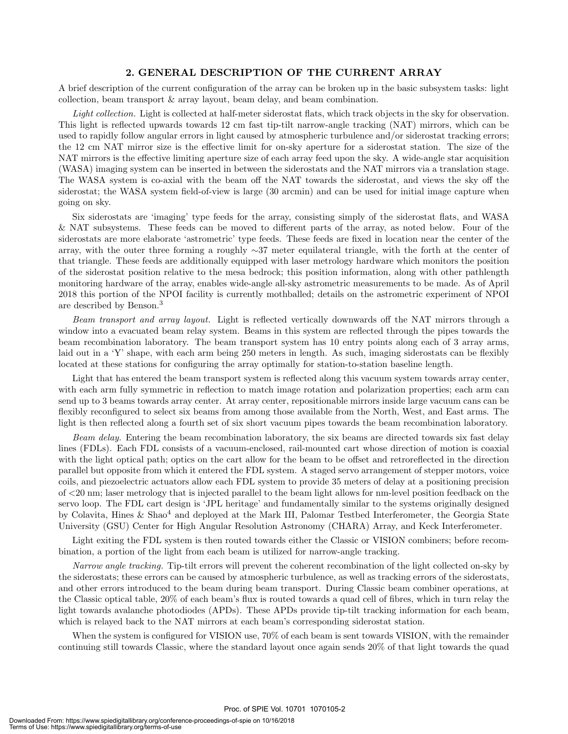#### 2. GENERAL DESCRIPTION OF THE CURRENT ARRAY

A brief description of the current configuration of the array can be broken up in the basic subsystem tasks: light collection, beam transport & array layout, beam delay, and beam combination.

Light collection. Light is collected at half-meter siderostat flats, which track objects in the sky for observation. This light is reflected upwards towards 12 cm fast tip-tilt narrow-angle tracking (NAT) mirrors, which can be used to rapidly follow angular errors in light caused by atmospheric turbulence and/or siderostat tracking errors; the 12 cm NAT mirror size is the effective limit for on-sky aperture for a siderostat station. The size of the NAT mirrors is the effective limiting aperture size of each array feed upon the sky. A wide-angle star acquisition (WASA) imaging system can be inserted in between the siderostats and the NAT mirrors via a translation stage. The WASA system is co-axial with the beam off the NAT towards the siderostat, and views the sky off the siderostat; the WASA system field-of-view is large (30 arcmin) and can be used for initial image capture when going on sky.

Six siderostats are 'imaging' type feeds for the array, consisting simply of the siderostat flats, and WASA & NAT subsystems. These feeds can be moved to different parts of the array, as noted below. Four of the siderostats are more elaborate 'astrometric' type feeds. These feeds are fixed in location near the center of the array, with the outer three forming a roughly ∼37 meter equilateral triangle, with the forth at the center of that triangle. These feeds are additionally equipped with laser metrology hardware which monitors the position of the siderostat position relative to the mesa bedrock; this position information, along with other pathlength monitoring hardware of the array, enables wide-angle all-sky astrometric measurements to be made. As of April 2018 this portion of the NPOI facility is currently mothballed; details on the astrometric experiment of NPOI are described by Benson.<sup>3</sup>

Beam transport and array layout. Light is reflected vertically downwards off the NAT mirrors through a window into a evacuated beam relay system. Beams in this system are reflected through the pipes towards the beam recombination laboratory. The beam transport system has 10 entry points along each of 3 array arms, laid out in a 'Y' shape, with each arm being 250 meters in length. As such, imaging siderostats can be flexibly located at these stations for configuring the array optimally for station-to-station baseline length.

Light that has entered the beam transport system is reflected along this vacuum system towards array center, with each arm fully symmetric in reflection to match image rotation and polarization properties; each arm can send up to 3 beams towards array center. At array center, repositionable mirrors inside large vacuum cans can be flexibly reconfigured to select six beams from among those available from the North, West, and East arms. The light is then reflected along a fourth set of six short vacuum pipes towards the beam recombination laboratory.

Beam delay. Entering the beam recombination laboratory, the six beams are directed towards six fast delay lines (FDLs). Each FDL consists of a vacuum-enclosed, rail-mounted cart whose direction of motion is coaxial with the light optical path; optics on the cart allow for the beam to be offset and retroreflected in the direction parallel but opposite from which it entered the FDL system. A staged servo arrangement of stepper motors, voice coils, and piezoelectric actuators allow each FDL system to provide 35 meters of delay at a positioning precision of <20 nm; laser metrology that is injected parallel to the beam light allows for nm-level position feedback on the servo loop. The FDL cart design is 'JPL heritage' and fundamentally similar to the systems originally designed by Colavita, Hines & Shao<sup>4</sup> and deployed at the Mark III, Palomar Testbed Interferometer, the Georgia State University (GSU) Center for High Angular Resolution Astronomy (CHARA) Array, and Keck Interferometer.

Light exiting the FDL system is then routed towards either the Classic or VISION combiners; before recombination, a portion of the light from each beam is utilized for narrow-angle tracking.

Narrow angle tracking. Tip-tilt errors will prevent the coherent recombination of the light collected on-sky by the siderostats; these errors can be caused by atmospheric turbulence, as well as tracking errors of the siderostats, and other errors introduced to the beam during beam transport. During Classic beam combiner operations, at the Classic optical table, 20% of each beam's flux is routed towards a quad cell of fibres, which in turn relay the light towards avalanche photodiodes (APDs). These APDs provide tip-tilt tracking information for each beam, which is relayed back to the NAT mirrors at each beam's corresponding siderostat station.

When the system is configured for VISION use,  $70\%$  of each beam is sent towards VISION, with the remainder continuing still towards Classic, where the standard layout once again sends 20% of that light towards the quad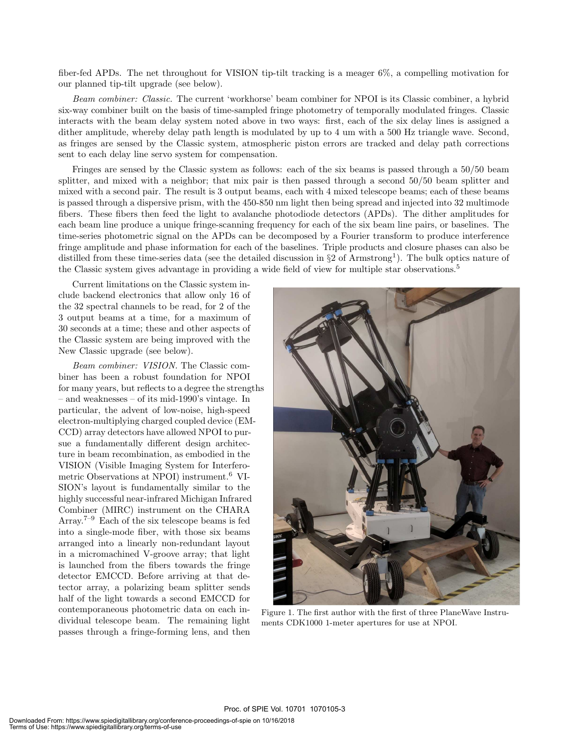fiber-fed APDs. The net throughout for VISION tip-tilt tracking is a meager 6%, a compelling motivation for our planned tip-tilt upgrade (see below).

Beam combiner: Classic. The current 'workhorse' beam combiner for NPOI is its Classic combiner, a hybrid six-way combiner built on the basis of time-sampled fringe photometry of temporally modulated fringes. Classic interacts with the beam delay system noted above in two ways: first, each of the six delay lines is assigned a dither amplitude, whereby delay path length is modulated by up to 4 um with a 500 Hz triangle wave. Second, as fringes are sensed by the Classic system, atmospheric piston errors are tracked and delay path corrections sent to each delay line servo system for compensation.

Fringes are sensed by the Classic system as follows: each of the six beams is passed through a 50/50 beam splitter, and mixed with a neighbor; that mix pair is then passed through a second 50/50 beam splitter and mixed with a second pair. The result is 3 output beams, each with 4 mixed telescope beams; each of these beams is passed through a dispersive prism, with the 450-850 nm light then being spread and injected into 32 multimode fibers. These fibers then feed the light to avalanche photodiode detectors (APDs). The dither amplitudes for each beam line produce a unique fringe-scanning frequency for each of the six beam line pairs, or baselines. The time-series photometric signal on the APDs can be decomposed by a Fourier transform to produce interference fringe amplitude and phase information for each of the baselines. Triple products and closure phases can also be distilled from these time-series data (see the detailed discussion in  $\S2$  of Armstrong<sup>1</sup>). The bulk optics nature of the Classic system gives advantage in providing a wide field of view for multiple star observations.<sup>5</sup>

Current limitations on the Classic system include backend electronics that allow only 16 of the 32 spectral channels to be read, for 2 of the 3 output beams at a time, for a maximum of 30 seconds at a time; these and other aspects of the Classic system are being improved with the New Classic upgrade (see below).

Beam combiner: VISION. The Classic combiner has been a robust foundation for NPOI for many years, but reflects to a degree the strengths – and weaknesses – of its mid-1990's vintage. In particular, the advent of low-noise, high-speed electron-multiplying charged coupled device (EM-CCD) array detectors have allowed NPOI to pursue a fundamentally different design architecture in beam recombination, as embodied in the VISION (Visible Imaging System for Interferometric Observations at NPOI) instrument.<sup>6</sup> VI-SION's layout is fundamentally similar to the highly successful near-infrared Michigan Infrared Combiner (MIRC) instrument on the CHARA Array.<sup>7–9</sup> Each of the six telescope beams is fed into a single-mode fiber, with those six beams arranged into a linearly non-redundant layout in a micromachined V-groove array; that light is launched from the fibers towards the fringe detector EMCCD. Before arriving at that detector array, a polarizing beam splitter sends half of the light towards a second EMCCD for contemporaneous photometric data on each individual telescope beam. The remaining light passes through a fringe-forming lens, and then



Figure 1. The first author with the first of three PlaneWave Instruments CDK1000 1-meter apertures for use at NPOI.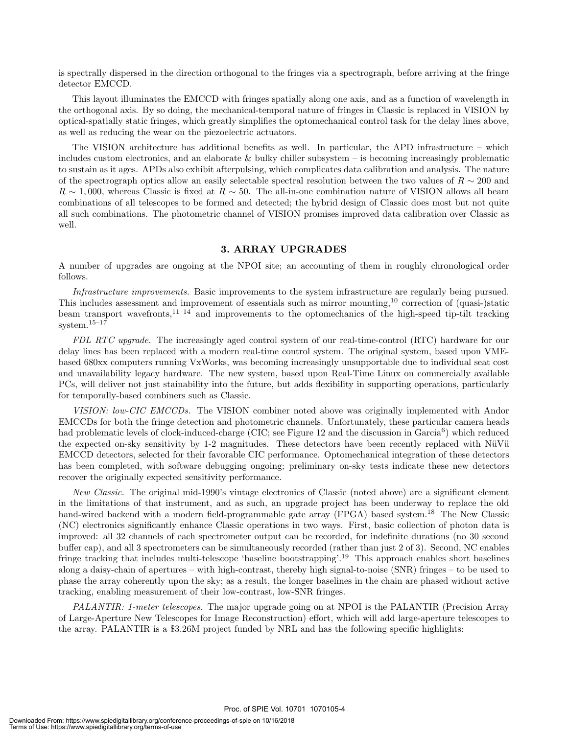is spectrally dispersed in the direction orthogonal to the fringes via a spectrograph, before arriving at the fringe detector EMCCD.

This layout illuminates the EMCCD with fringes spatially along one axis, and as a function of wavelength in the orthogonal axis. By so doing, the mechanical-temporal nature of fringes in Classic is replaced in VISION by optical-spatially static fringes, which greatly simplifies the optomechanical control task for the delay lines above, as well as reducing the wear on the piezoelectric actuators.

The VISION architecture has additional benefits as well. In particular, the APD infrastructure – which includes custom electronics, and an elaborate & bulky chiller subsystem – is becoming increasingly problematic to sustain as it ages. APDs also exhibit afterpulsing, which complicates data calibration and analysis. The nature of the spectrograph optics allow an easily selectable spectral resolution between the two values of  $R \sim 200$  and  $R \sim 1,000$ , whereas Classic is fixed at  $R \sim 50$ . The all-in-one combination nature of VISION allows all beam combinations of all telescopes to be formed and detected; the hybrid design of Classic does most but not quite all such combinations. The photometric channel of VISION promises improved data calibration over Classic as well.

#### 3. ARRAY UPGRADES

A number of upgrades are ongoing at the NPOI site; an accounting of them in roughly chronological order follows.

Infrastructure improvements. Basic improvements to the system infrastructure are regularly being pursued. This includes assessment and improvement of essentials such as mirror mounting,<sup>10</sup> correction of (quasi-)static beam transport wavefronts,11–14 and improvements to the optomechanics of the high-speed tip-tilt tracking system.15–17

FDL RTC upgrade. The increasingly aged control system of our real-time-control (RTC) hardware for our delay lines has been replaced with a modern real-time control system. The original system, based upon VMEbased 680xx computers running VxWorks, was becoming increasingly unsupportable due to individual seat cost and unavailability legacy hardware. The new system, based upon Real-Time Linux on commercially available PCs, will deliver not just stainability into the future, but adds flexibility in supporting operations, particularly for temporally-based combiners such as Classic.

VISION: low-CIC EMCCDs. The VISION combiner noted above was originally implemented with Andor EMCCDs for both the fringe detection and photometric channels. Unfortunately, these particular camera heads had problematic levels of clock-induced-charge (CIC; see Figure 12 and the discussion in Garcia<sup>6</sup>) which reduced the expected on-sky sensitivity by 1-2 magnitudes. These detectors have been recently replaced with NüVü EMCCD detectors, selected for their favorable CIC performance. Optomechanical integration of these detectors has been completed, with software debugging ongoing; preliminary on-sky tests indicate these new detectors recover the originally expected sensitivity performance.

New Classic. The original mid-1990's vintage electronics of Classic (noted above) are a significant element in the limitations of that instrument, and as such, an upgrade project has been underway to replace the old hand-wired backend with a modern field-programmable gate array (FPGA) based system.<sup>18</sup> The New Classic (NC) electronics significantly enhance Classic operations in two ways. First, basic collection of photon data is improved: all 32 channels of each spectrometer output can be recorded, for indefinite durations (no 30 second buffer cap), and all 3 spectrometers can be simultaneously recorded (rather than just 2 of 3). Second, NC enables fringe tracking that includes multi-telescope 'baseline bootstrapping'.<sup>19</sup> This approach enables short baselines along a daisy-chain of apertures – with high-contrast, thereby high signal-to-noise (SNR) fringes – to be used to phase the array coherently upon the sky; as a result, the longer baselines in the chain are phased without active tracking, enabling measurement of their low-contrast, low-SNR fringes.

PALANTIR: 1-meter telescopes. The major upgrade going on at NPOI is the PALANTIR (Precision Array of Large-Aperture New Telescopes for Image Reconstruction) effort, which will add large-aperture telescopes to the array. PALANTIR is a \$3.26M project funded by NRL and has the following specific highlights: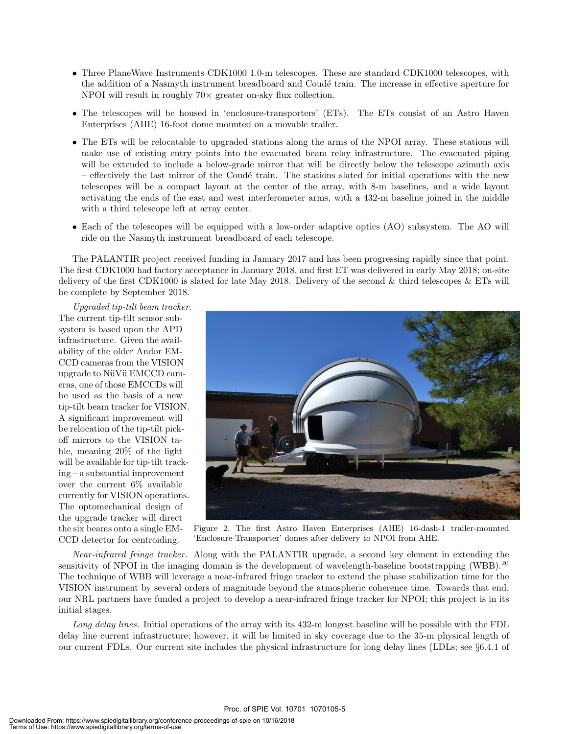- Three PlaneWave Instruments CDK1000 1.0-m telescopes. These are standard CDK1000 telescopes, with the addition of a Nasmyth instrument breadboard and Coudé train. The increase in effective aperture for NPOI will result in roughly  $70\times$  greater on-sky flux collection.
- The telescopes will be housed in 'enclosure-transporters' (ETs). The ETs consist of an Astro Haven Enterprises (AHE) 16-foot dome mounted on a movable trailer.
- The ETs will be relocatable to upgraded stations along the arms of the NPOI array. These stations will make use of existing entry points into the evacuated beam relay infrastructure. The evacuated piping will be extended to include a below-grade mirror that will be directly below the telescope azimuth axis – effectively the last mirror of the Coudé train. The stations slated for initial operations with the new telescopes will be a compact layout at the center of the array, with 8-m baselines, and a wide layout activating the ends of the east and west interferometer arms, with a 432-m baseline joined in the middle with a third telescope left at array center.
- Each of the telescopes will be equipped with a low-order adaptive optics (AO) subsystem. The AO will ride on the Nasmyth instrument breadboard of each telescope.

The PALANTIR project received funding in January 2017 and has been progressing rapidly since that point. The first CDK1000 had factory acceptance in January 2018, and first ET was delivered in early May 2018; on-site delivery of the first CDK1000 is slated for late May 2018. Delivery of the second & third telescopes & ETs will be complete by September 2018.

Upgraded tip-tilt beam tracker. The current tip-tilt sensor subsystem is based upon the APD infrastructure. Given the availability of the older Andor EM-CCD cameras from the VISION upgrade to NüVü EMCCD cameras, one of those EMCCDs will be used as the basis of a new tip-tilt beam tracker for VISION. A significant improvement will be relocation of the tip-tilt pickoff mirrors to the VISION table, meaning 20% of the light will be available for tip-tilt tracking – a substantial improvement over the current 6% available currently for VISION operations. The optomechanical design of the upgrade tracker will direct the six beams onto a single EM-CCD detector for centroiding.



Figure 2. The first Astro Haven Enterprises (AHE) 16-dash-1 trailer-mounted 'Enclosure-Transporter' domes after delivery to NPOI from AHE.

Near-infrared fringe tracker. Along with the PALANTIR upgrade, a second key element in extending the sensitivity of NPOI in the imaging domain is the development of wavelength-baseline bootstrapping (WBB).<sup>20</sup> The technique of WBB will leverage a near-infrared fringe tracker to extend the phase stabilization time for the VISION instrument by several orders of magnitude beyond the atmospheric coherence time. Towards that end, our NRL partners have funded a project to develop a near-infrared fringe tracker for NPOI; this project is in its initial stages.

Long delay lines. Initial operations of the array with its 432-m longest baseline will be possible with the FDL delay line current infrastructure; however, it will be limited in sky coverage due to the 35-m physical length of our current FDLs. Our current site includes the physical infrastructure for long delay lines (LDLs; see §6.4.1 of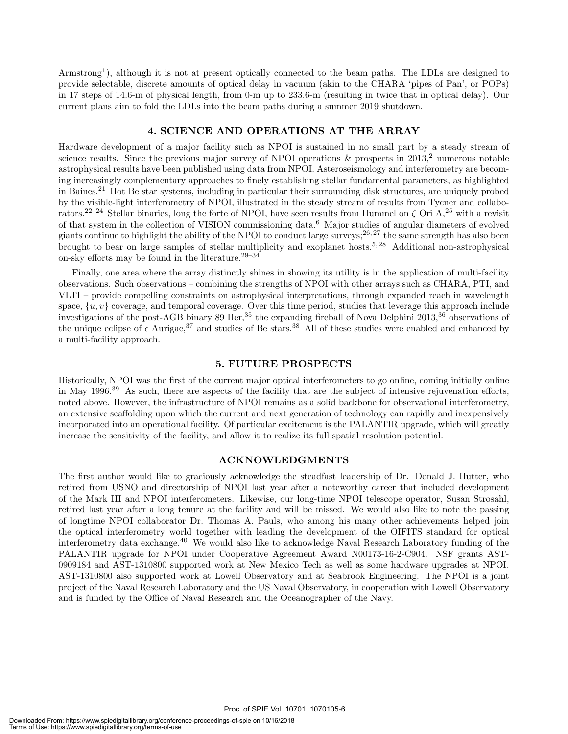Armstrong<sup>1</sup>), although it is not at present optically connected to the beam paths. The LDLs are designed to provide selectable, discrete amounts of optical delay in vacuum (akin to the CHARA 'pipes of Pan', or POPs) in 17 steps of 14.6-m of physical length, from 0-m up to 233.6-m (resulting in twice that in optical delay). Our current plans aim to fold the LDLs into the beam paths during a summer 2019 shutdown.

#### 4. SCIENCE AND OPERATIONS AT THE ARRAY

Hardware development of a major facility such as NPOI is sustained in no small part by a steady stream of science results. Since the previous major survey of NPOI operations  $\&$  prospects in 2013,<sup>2</sup> numerous notable astrophysical results have been published using data from NPOI. Asteroseismology and interferometry are becoming increasingly complementary approaches to finely establishing stellar fundamental parameters, as highlighted in Baines.<sup>21</sup> Hot Be star systems, including in particular their surrounding disk structures, are uniquely probed by the visible-light interferometry of NPOI, illustrated in the steady stream of results from Tycner and collaborators.<sup>22–24</sup> Stellar binaries, long the forte of NPOI, have seen results from Hummel on  $\zeta$  Ori A,<sup>25</sup> with a revisit of that system in the collection of VISION commissioning data.<sup>6</sup> Major studies of angular diameters of evolved giants continue to highlight the ability of the NPOI to conduct large surveys;  $26, 27$  the same strength has also been brought to bear on large samples of stellar multiplicity and exoplanet hosts.5, 28 Additional non-astrophysical on-sky efforts may be found in the literature.<sup>29–34</sup>

Finally, one area where the array distinctly shines in showing its utility is in the application of multi-facility observations. Such observations – combining the strengths of NPOI with other arrays such as CHARA, PTI, and VLTI – provide compelling constraints on astrophysical interpretations, through expanded reach in wavelength space,  $\{u, v\}$  coverage, and temporal coverage. Over this time period, studies that leverage this approach include investigations of the post-AGB binary 89 Her,<sup>35</sup> the expanding fireball of Nova Delphini 2013,<sup>36</sup> observations of the unique eclipse of  $\epsilon$  Aurigae,<sup>37</sup> and studies of Be stars.<sup>38</sup> All of these studies were enabled and enhanced by a multi-facility approach.

#### 5. FUTURE PROSPECTS

Historically, NPOI was the first of the current major optical interferometers to go online, coming initially online in May 1996.<sup>39</sup> As such, there are aspects of the facility that are the subject of intensive rejuvenation efforts, noted above. However, the infrastructure of NPOI remains as a solid backbone for observational interferometry, an extensive scaffolding upon which the current and next generation of technology can rapidly and inexpensively incorporated into an operational facility. Of particular excitement is the PALANTIR upgrade, which will greatly increase the sensitivity of the facility, and allow it to realize its full spatial resolution potential.

#### ACKNOWLEDGMENTS

The first author would like to graciously acknowledge the steadfast leadership of Dr. Donald J. Hutter, who retired from USNO and directorship of NPOI last year after a noteworthy career that included development of the Mark III and NPOI interferometers. Likewise, our long-time NPOI telescope operator, Susan Strosahl, retired last year after a long tenure at the facility and will be missed. We would also like to note the passing of longtime NPOI collaborator Dr. Thomas A. Pauls, who among his many other achievements helped join the optical interferometry world together with leading the development of the OIFITS standard for optical interferometry data exchange.<sup>40</sup> We would also like to acknowledge Naval Research Laboratory funding of the PALANTIR upgrade for NPOI under Cooperative Agreement Award N00173-16-2-C904. NSF grants AST-0909184 and AST-1310800 supported work at New Mexico Tech as well as some hardware upgrades at NPOI. AST-1310800 also supported work at Lowell Observatory and at Seabrook Engineering. The NPOI is a joint project of the Naval Research Laboratory and the US Naval Observatory, in cooperation with Lowell Observatory and is funded by the Office of Naval Research and the Oceanographer of the Navy.

Proc. of SPIE Vol. 10701 1070105-6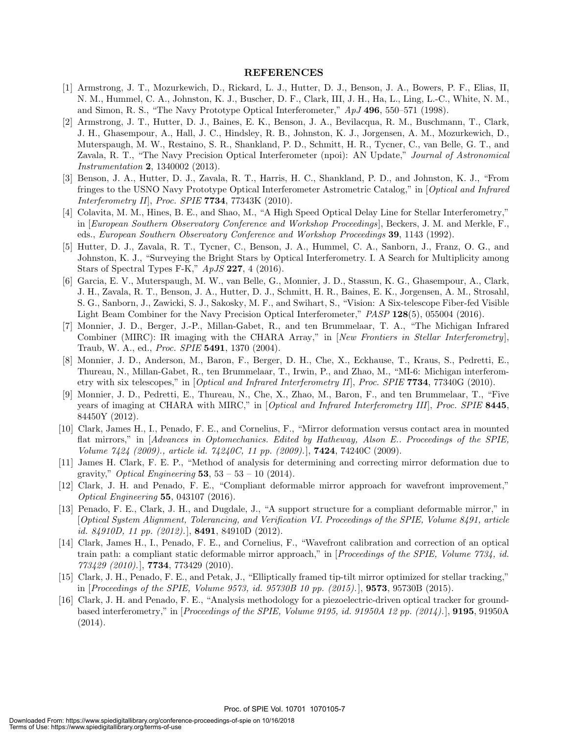#### REFERENCES

- [1] Armstrong, J. T., Mozurkewich, D., Rickard, L. J., Hutter, D. J., Benson, J. A., Bowers, P. F., Elias, II, N. M., Hummel, C. A., Johnston, K. J., Buscher, D. F., Clark, III, J. H., Ha, L., Ling, L.-C., White, N. M., and Simon, R. S., "The Navy Prototype Optical Interferometer," ApJ 496, 550–571 (1998).
- [2] Armstrong, J. T., Hutter, D. J., Baines, E. K., Benson, J. A., Bevilacqua, R. M., Buschmann, T., Clark, J. H., Ghasempour, A., Hall, J. C., Hindsley, R. B., Johnston, K. J., Jorgensen, A. M., Mozurkewich, D., Muterspaugh, M. W., Restaino, S. R., Shankland, P. D., Schmitt, H. R., Tycner, C., van Belle, G. T., and Zavala, R. T., "The Navy Precision Optical Interferometer (npoi): AN Update," Journal of Astronomical Instrumentation 2, 1340002 (2013).
- [3] Benson, J. A., Hutter, D. J., Zavala, R. T., Harris, H. C., Shankland, P. D., and Johnston, K. J., "From fringes to the USNO Navy Prototype Optical Interferometer Astrometric Catalog," in [Optical and Infrared Interferometry II, Proc. SPIE  $7734$ , 77343K (2010).
- [4] Colavita, M. M., Hines, B. E., and Shao, M., "A High Speed Optical Delay Line for Stellar Interferometry," in [European Southern Observatory Conference and Workshop Proceedings], Beckers, J. M. and Merkle, F., eds., European Southern Observatory Conference and Workshop Proceedings 39, 1143 (1992).
- [5] Hutter, D. J., Zavala, R. T., Tycner, C., Benson, J. A., Hummel, C. A., Sanborn, J., Franz, O. G., and Johnston, K. J., "Surveying the Bright Stars by Optical Interferometry. I. A Search for Multiplicity among Stars of Spectral Types F-K,"  $ApJS$  227, 4 (2016).
- [6] Garcia, E. V., Muterspaugh, M. W., van Belle, G., Monnier, J. D., Stassun, K. G., Ghasempour, A., Clark, J. H., Zavala, R. T., Benson, J. A., Hutter, D. J., Schmitt, H. R., Baines, E. K., Jorgensen, A. M., Strosahl, S. G., Sanborn, J., Zawicki, S. J., Sakosky, M. F., and Swihart, S., "Vision: A Six-telescope Fiber-fed Visible Light Beam Combiner for the Navy Precision Optical Interferometer," PASP 128(5), 055004 (2016).
- [7] Monnier, J. D., Berger, J.-P., Millan-Gabet, R., and ten Brummelaar, T. A., "The Michigan Infrared Combiner (MIRC): IR imaging with the CHARA Array," in [New Frontiers in Stellar Interferometry], Traub, W. A., ed., Proc. SPIE 5491, 1370 (2004).
- [8] Monnier, J. D., Anderson, M., Baron, F., Berger, D. H., Che, X., Eckhause, T., Kraus, S., Pedretti, E., Thureau, N., Millan-Gabet, R., ten Brummelaar, T., Irwin, P., and Zhao, M., "MI-6: Michigan interferometry with six telescopes," in [*Optical and Infrared Interferometry II*], *Proc. SPIE* 7734, 77340G (2010).
- [9] Monnier, J. D., Pedretti, E., Thureau, N., Che, X., Zhao, M., Baron, F., and ten Brummelaar, T., "Five years of imaging at CHARA with MIRC," in  $\Box$  *Optical and Infrared Interferometry III*, *Proc. SPIE* 8445, 84450Y (2012).
- [10] Clark, James H., I., Penado, F. E., and Cornelius, F., "Mirror deformation versus contact area in mounted flat mirrors," in [Advances in Optomechanics. Edited by Hatheway, Alson E.. Proceedings of the SPIE, Volume 7424 (2009)., article id. 74240C, 11 pp. (2009).], 7424, 74240C (2009).
- [11] James H. Clark, F. E. P., "Method of analysis for determining and correcting mirror deformation due to gravity," *Optical Engineering* **53**,  $53 - 53 - 10$  (2014).
- [12] Clark, J. H. and Penado, F. E., "Compliant deformable mirror approach for wavefront improvement," Optical Engineering 55, 043107 (2016).
- [13] Penado, F. E., Clark, J. H., and Dugdale, J., "A support structure for a compliant deformable mirror," in [Optical System Alignment, Tolerancing, and Verification VI. Proceedings of the SPIE, Volume 8491, article id. 84910D, 11 pp.  $(2012)$ .], 8491, 84910D  $(2012)$ .
- [14] Clark, James H., I., Penado, F. E., and Cornelius, F., "Wavefront calibration and correction of an optical train path: a compliant static deformable mirror approach," in [Proceedings of the SPIE, Volume 7734, id. 773429 (2010).], 7734, 773429 (2010).
- [15] Clark, J. H., Penado, F. E., and Petak, J., "Elliptically framed tip-tilt mirror optimized for stellar tracking," in  $[Proceedings of the SPIE, Volume 9573, id. 95730B 10 pp. (2015).]$ , **9573**, 95730B (2015).
- [16] Clark, J. H. and Penado, F. E., "Analysis methodology for a piezoelectric-driven optical tracker for groundbased interferometry," in [Proceedings of the SPIE, Volume 9195, id. 91950A 12 pp. (2014).], **9195**, 91950A (2014).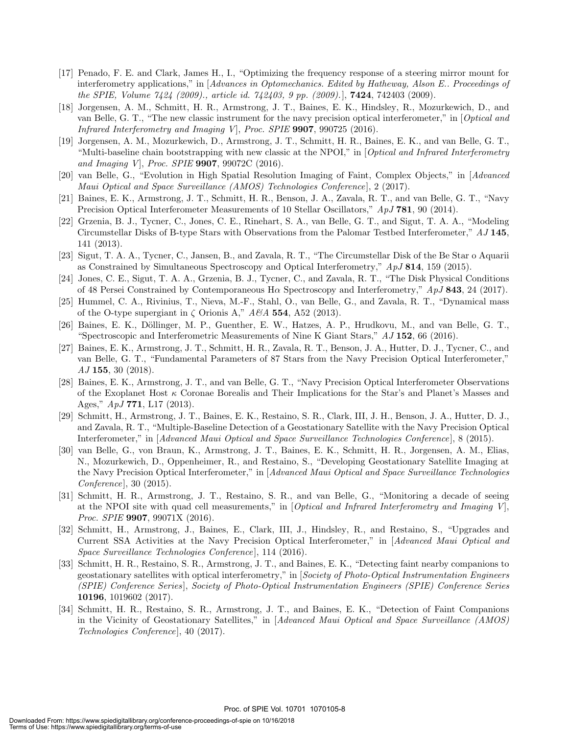- [17] Penado, F. E. and Clark, James H., I., "Optimizing the frequency response of a steering mirror mount for interferometry applications," in [Advances in Optomechanics. Edited by Hatheway, Alson E.. Proceedings of the SPIE, Volume 7424 (2009)., article id. 742403, 9 pp. (2009).], 7424, 742403 (2009).
- [18] Jorgensen, A. M., Schmitt, H. R., Armstrong, J. T., Baines, E. K., Hindsley, R., Mozurkewich, D., and van Belle, G. T., "The new classic instrument for the navy precision optical interferometer," in [Optical and Infrared Interferometry and Imaging V, Proc. SPIE  $9907$ ,  $990725$  (2016).
- [19] Jorgensen, A. M., Mozurkewich, D., Armstrong, J. T., Schmitt, H. R., Baines, E. K., and van Belle, G. T., "Multi-baseline chain bootstrapping with new classic at the NPOI," in [Optical and Infrared Interferometry and Imaging V], Proc. SPIE 9907, 99072C (2016).
- [20] van Belle, G., "Evolution in High Spatial Resolution Imaging of Faint, Complex Objects," in [Advanced Maui Optical and Space Surveillance (AMOS) Technologies Conference, 2 (2017).
- [21] Baines, E. K., Armstrong, J. T., Schmitt, H. R., Benson, J. A., Zavala, R. T., and van Belle, G. T., "Navy Precision Optical Interferometer Measurements of 10 Stellar Oscillators," ApJ 781, 90 (2014).
- [22] Grzenia, B. J., Tycner, C., Jones, C. E., Rinehart, S. A., van Belle, G. T., and Sigut, T. A. A., "Modeling Circumstellar Disks of B-type Stars with Observations from the Palomar Testbed Interferometer," AJ 145, 141 (2013).
- [23] Sigut, T. A. A., Tycner, C., Jansen, B., and Zavala, R. T., "The Circumstellar Disk of the Be Star o Aquarii as Constrained by Simultaneous Spectroscopy and Optical Interferometry," ApJ 814, 159 (2015).
- [24] Jones, C. E., Sigut, T. A. A., Grzenia, B. J., Tycner, C., and Zavala, R. T., "The Disk Physical Conditions of 48 Persei Constrained by Contemporaneous Hα Spectroscopy and Interferometry," ApJ 843, 24 (2017).
- [25] Hummel, C. A., Rivinius, T., Nieva, M.-F., Stahl, O., van Belle, G., and Zavala, R. T., "Dynamical mass of the O-type supergiant in  $\zeta$  Orionis A,"  $A\mathscr{B}A$  554, A52 (2013).
- [26] Baines, E. K., Döllinger, M. P., Guenther, E. W., Hatzes, A. P., Hrudkovu, M., and van Belle, G. T., "Spectroscopic and Interferometric Measurements of Nine K Giant Stars," AJ 152, 66 (2016).
- [27] Baines, E. K., Armstrong, J. T., Schmitt, H. R., Zavala, R. T., Benson, J. A., Hutter, D. J., Tycner, C., and van Belle, G. T., "Fundamental Parameters of 87 Stars from the Navy Precision Optical Interferometer,"  $AJ$  155, 30 (2018).
- [28] Baines, E. K., Armstrong, J. T., and van Belle, G. T., "Navy Precision Optical Interferometer Observations of the Exoplanet Host  $\kappa$  Coronae Borealis and Their Implications for the Star's and Planet's Masses and Ages," ApJ 771, L17 (2013).
- [29] Schmitt, H., Armstrong, J. T., Baines, E. K., Restaino, S. R., Clark, III, J. H., Benson, J. A., Hutter, D. J., and Zavala, R. T., "Multiple-Baseline Detection of a Geostationary Satellite with the Navy Precision Optical Interferometer," in [Advanced Maui Optical and Space Surveillance Technologies Conference], 8 (2015).
- [30] van Belle, G., von Braun, K., Armstrong, J. T., Baines, E. K., Schmitt, H. R., Jorgensen, A. M., Elias, N., Mozurkewich, D., Oppenheimer, R., and Restaino, S., "Developing Geostationary Satellite Imaging at the Navy Precision Optical Interferometer," in [Advanced Maui Optical and Space Surveillance Technologies Conference], 30 (2015).
- [31] Schmitt, H. R., Armstrong, J. T., Restaino, S. R., and van Belle, G., "Monitoring a decade of seeing at the NPOI site with quad cell measurements," in [Optical and Infrared Interferometry and Imaging V]. Proc. SPIE **9907**, 99071X (2016).
- [32] Schmitt, H., Armstrong, J., Baines, E., Clark, III, J., Hindsley, R., and Restaino, S., "Upgrades and Current SSA Activities at the Navy Precision Optical Interferometer," in [Advanced Maui Optical and Space Surveillance Technologies Conference], 114 (2016).
- [33] Schmitt, H. R., Restaino, S. R., Armstrong, J. T., and Baines, E. K., "Detecting faint nearby companions to geostationary satellites with optical interferometry," in [Society of Photo-Optical Instrumentation Engineers (SPIE) Conference Series ], Society of Photo-Optical Instrumentation Engineers (SPIE) Conference Series 10196, 1019602 (2017).
- [34] Schmitt, H. R., Restaino, S. R., Armstrong, J. T., and Baines, E. K., "Detection of Faint Companions in the Vicinity of Geostationary Satellites," in [Advanced Maui Optical and Space Surveillance (AMOS) Technologies Conference], 40 (2017).